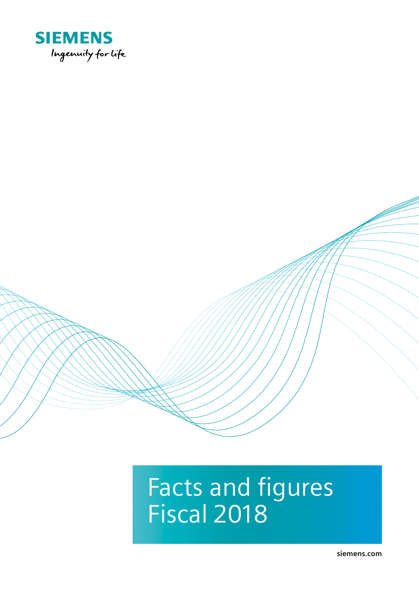

# Facts and figures Fiscal 2018

**siemens.com**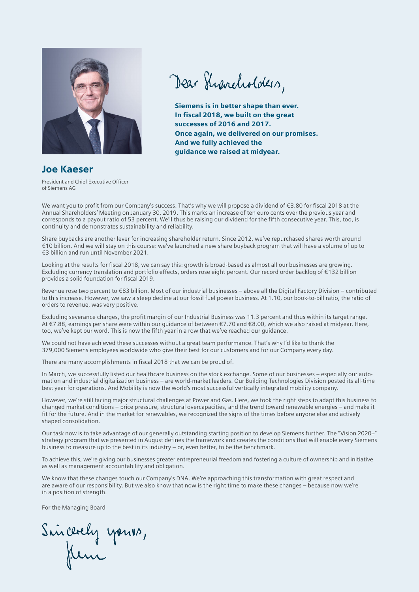

Dear Shancholders,

Siemens is in better shape than ever. In fiscal 2018, we built on the great successes of 2016 and 2017. Once again, we delivered on our promises. And we fully achieved the guidance we raised at midyear.

## Joe Kaeser

President and Chief Executive Officer of Siemens AG

We want you to profit from our Company's success. That's why we will propose a dividend of €3.80 for fiscal 2018 at the Annual Shareholders' Meeting on January 30, 2019. This marks an increase of ten euro cents over the previous year and corresponds to a payout ratio of 53 percent. We'll thus be raising our dividend for the fifth consecutive year. This, too, is continuity and demonstrates sustainability and reliability.

Share buybacks are another lever for increasing shareholder return. Since 2012, we've repurchased shares worth around €10 billion. And we will stay on this course: we've launched a new share buyback program that will have a volume of up to €3 billion and run until November 2021.

Looking at the results for fiscal 2018, we can say this: growth is broad-based as almost all our businesses are growing. Excluding currency translation and portfolio effects, orders rose eight percent. Our record order backlog of €132 billion provides a solid foundation for fiscal 2019.

Revenue rose two percent to €83 billion. Most of our industrial businesses – above all the Digital Factory Division – contributed to this increase. However, we saw a steep decline at our fossil fuel power business. At 1.10, our book-to-bill ratio, the ratio of orders to revenue, was very positive.

Excluding severance charges, the profit margin of our Industrial Business was 11.3 percent and thus within its target range. At €7.88, earnings per share were within our guidance of between €7.70 and €8.00, which we also raised at midyear. Here, too, we've kept our word. This is now the fifth year in a row that we've reached our guidance.

We could not have achieved these successes without a great team performance. That's why I'd like to thank the 379,000 Siemens employees worldwide who give their best for our customers and for our Company every day.

There are many accomplishments in fiscal 2018 that we can be proud of.

In March, we successfully listed our healthcare business on the stock exchange. Some of our businesses – especially our automation and industrial digitalization business – are world-market leaders. Our Building Technologies Division posted its all-time best year for operations. And Mobility is now the world's most successful vertically integrated mobility company.

However, we're still facing major structural challenges at Power and Gas. Here, we took the right steps to adapt this business to changed market conditions – price pressure, structural overcapacities, and the trend toward renewable energies – and make it fit for the future. And in the market for renewables, we recognized the signs of the times before anyone else and actively shaped consolidation.

Our task now is to take advantage of our generally outstanding starting position to develop Siemens further. The "Vision 2020+" strategy program that we presented in August defines the framework and creates the conditions that will enable every Siemens business to measure up to the best in its industry – or, even better, to be the benchmark.

To achieve this, we're giving our businesses greater entrepreneurial freedom and fostering a culture of ownership and initiative as well as management accountability and obligation.

We know that these changes touch our Company's DNA. We're approaching this transformation with great respect and are aware of our responsibility. But we also know that now is the right time to make these changes – because now we're in a position of strength.

For the Managing Board

Sincerely yours,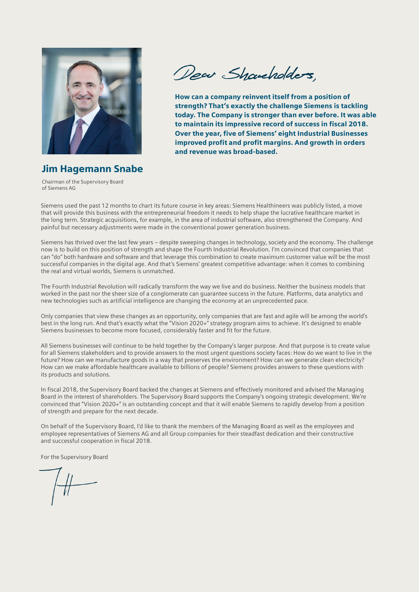

Dear Shaucholders,

How can a company reinvent itself from a position of strength? That's exactly the challenge Siemens is tackling today. The Company is stronger than ever before. It was able to maintain its impressive record of success in fiscal 2018. Over the year, five of Siemens' eight Industrial Businesses improved profit and profit margins. And growth in orders and revenue was broad-based.

Jim Hagemann Snabe

Chairman of the Supervisory Board of Siemens AG

Siemens used the past 12 months to chart its future course in key areas: Siemens Healthineers was publicly listed, a move that will provide this business with the entrepreneurial freedom it needs to help shape the lucrative healthcare market in the long term. Strategic acquisitions, for example, in the area of industrial software, also strengthened the Company. And painful but necessary adjustments were made in the conventional power generation business.

Siemens has thrived over the last few years – despite sweeping changes in technology, society and the economy. The challenge now is to build on this position of strength and shape the Fourth Industrial Revolution. I'm convinced that companies that can "do" both hardware and software and that leverage this combination to create maximum customer value will be the most successful companies in the digital age. And that's Siemens' greatest competitive advantage: when it comes to combining the real and virtual worlds, Siemens is unmatched.

The Fourth Industrial Revolution will radically transform the way we live and do business. Neither the business models that worked in the past nor the sheer size of a conglomerate can guarantee success in the future. Platforms, data analytics and new technologies such as artificial intelligence are changing the economy at an unprecedented pace.

Only companies that view these changes as an opportunity, only companies that are fast and agile will be among the world's best in the long run. And that's exactly what the "Vision 2020+" strategy program aims to achieve. It's designed to enable Siemens businesses to become more focused, considerably faster and fit for the future.

All Siemens businesses will continue to be held together by the Company's larger purpose. And that purpose is to create value for all Siemens stakeholders and to provide answers to the most urgent questions society faces: How do we want to live in the future? How can we manufacture goods in a way that preserves the environment? How can we generate clean electricity? How can we make affordable healthcare available to billions of people? Siemens provides answers to these questions with its products and solutions.

In fiscal 2018, the Supervisory Board backed the changes at Siemens and effectively monitored and advised the Managing Board in the interest of shareholders. The Supervisory Board supports the Company's ongoing strategic development. We're convinced that "Vision 2020+" is an outstanding concept and that it will enable Siemens to rapidly develop from a position of strength and prepare for the next decade.

On behalf of the Supervisory Board, I'd like to thank the members of the Managing Board as well as the employees and employee representatives of Siemens AG and all Group companies for their steadfast dedication and their constructive and successful cooperation in fiscal 2018.

For the Supervisory Board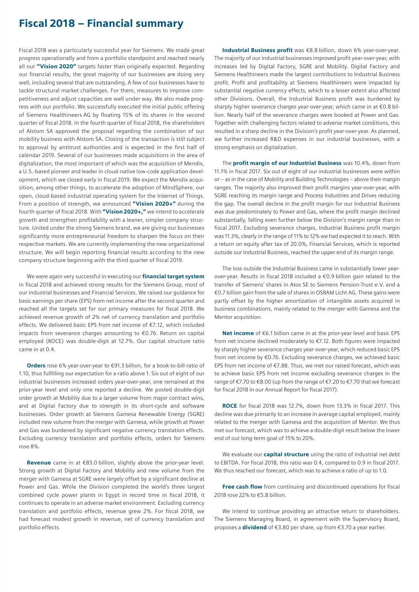## Fiscal 2018 – Financial summary

Fiscal 2018 was a particularly successful year for Siemens. We made great progress operationally and from a portfolio standpoint and reached nearly all our "Vision 2020" targets faster than originally expected. Regarding our financial results, the great majority of our businesses are doing very well, including several that are outstanding. A few of our businesses have to tackle structural market challenges. For them, measures to improve competitiveness and adjust capacities are well under way. We also made progress with our portfolio. We successfully executed the initial public offering of Siemens Healthineers AG by floating 15% of its shares in the second quarter of fiscal 2018. In the fourth quarter of fiscal 2018, the shareholders of Alstom SA approved the proposal regarding the combination of our mobility business with Alstom SA. Closing of the transaction is still subject to approval by antitrust authorities and is expected in the first half of calendar 2019. Several of our businesses made acquisitions in the area of digitalization, the most important of which was the acquisition of Mendix, a U.S.-based pioneer and leader in cloud-native low-code application development, which we closed early in fiscal 2019. We expect the Mendix acquisition, among other things, to accelerate the adoption of MindSphere, our open, cloud-based industrial operating system for the Internet of Things. From a position of strength, we announced "Vision 2020+" during the fourth quarter of fiscal 2018. With "Vision 2020+," we intend to accelerate growth and strengthen profitability with a leaner, simpler company structure. United under the strong Siemens brand, we are giving our businesses significantly more entrepreneurial freedom to sharpen the focus on their respective markets. We are currently implementing the new organizational structure. We will begin reporting financial results according to the new company structure beginning with the third quarter of fiscal 2019.

We were again very successful in executing our **financial target system** in fiscal 2018 and achieved strong results for the Siemens Group, most of our industrial businesses and Financial Services. We raised our guidance for basic earnings per share (EPS) from net income after the second quarter and reached all the targets set for our primary measures for fiscal 2018. We achieved revenue growth of 2% net of currency translation and portfolio effects. We delivered basic EPS from net income of €7.12, which included impacts from severance charges amounting to €0.76. Return on capital employed (ROCE) was double-digit at 12.7%. Our capital structure ratio came in at 0.4.

Orders rose 6% year-over-year to €91.3 billion, for a book-to-bill-ratio of 1.10, thus fulfilling our expectation for a ratio above 1. Six out of eight of our industrial businesses increased orders year-over-year, one remained at the prior-year level and only one reported a decline. We posted double-digit order growth at Mobility due to a larger volume from major contract wins, and at Digital Factory due to strength in its short-cycle and software businesses. Order growth at Siemens Gamesa Renewable Energy (SGRE) included new volume from the merger with Gamesa, while growth at Power and Gas was burdened by significant negative currency translation effects. Excluding currency translation and portfolio effects, orders for Siemens rose 8%.

Revenue came in at €83.0 billion, slightly above the prior-year level. Strong growth at Digital Factory and Mobility and new volume from the merger with Gamesa at SGRE were largely offset by a significant decline at Power and Gas. While the Division completed the world's three largest combined cycle power plants in Egypt in record time in fiscal 2018, it continues to operate in an adverse market environment. Excluding currency translation and portfolio effects, revenue grew 2%. For fiscal 2018, we had forecast modest growth in revenue, net of currency translation and portfolio effects.

Industrial Business profit was €8.8 billion, down 6% year-over-year. The majority of our industrial businesses improved profit year-over-year, with increases led by Digital Factory, SGRE and Mobility. Digital Factory and Siemens Healthineers made the largest contributions to Industrial Business profit. Profit and profitability at Siemens Healthineers were impacted by substantial negative currency effects, which to a lesser extent also affected other Divisions. Overall, the Industrial Business profit was burdened by sharply higher severance charges year-over-year, which came in at €0.8 billion. Nearly half of the severance charges were booked at Power and Gas. Together with challenging factors related to adverse market conditions, this resulted in a sharp decline in the Division's profit year-over-year. As planned, we further increased R&D expenses in our industrial businesses, with a strong emphasis on digitalization.

The **profit margin of our Industrial Business** was 10.4%, down from 11.1% in fiscal 2017. Six out of eight of our industrial businesses were within or – as in the case of Mobility and Building Technologies – above their margin ranges. The majority also improved their profit margins year-over-year, with SGRE reaching its margin range and Process Industries and Drives reducing the gap. The overall decline in the profit margin for our Industrial Business was due predominately to Power and Gas, where the profit margin declined substantially, falling even further below the Division's margin range than in fiscal 2017. Excluding severance charges, Industrial Business profit margin was 11.3%, clearly in the range of 11% to 12% we had expected it to reach. With a return on equity after tax of 20.0%, Financial Services, which is reported outside our Industrial Business, reached the upper end of its margin range.

The loss outside the Industrial Business came in substantially lower yearover-year. Results in fiscal 2018 included a €0.9 billion gain related to the transfer of Siemens' shares in Atos SE to Siemens Pension-Trust e.V. and a €0.7 billion gain from the sale of shares in OSRAM Licht AG. These gains were partly offset by the higher amortization of intangible assets acquired in business combinations, mainly related to the merger with Gamesa and the Mentor acquisition.

Net income of €6.1 billion came in at the prior-year level and basic EPS from net income declined moderately to €7.12. Both figures were impacted by sharply higher severance charges year-over-year, which reduced basic EPS from net income by €0.76. Excluding severance charges, we achieved basic EPS from net income of €7.88. Thus, we met our raised forecast, which was to achieve basic EPS from net income excluding severance charges in the range of €7.70 to €8.00 (up from the range of €7.20 to €7.70 that we forecast for fiscal 2018 in our Annual Report for fiscal 2017).

ROCE for fiscal 2018 was 12.7%, down from 13.3% in fiscal 2017. This decline was due primarily to an increase in average capital employed, mainly related to the merger with Gamesa and the acquisition of Mentor. We thus met our forecast, which was to achieve a double-digit result below the lower end of our long-term goal of 15% to 20%.

We evaluate our **capital structure** using the ratio of industrial net debt to EBITDA. For fiscal 2018, this ratio was 0.4, compared to 0.9 in fiscal 2017. We thus reached our forecast, which was to achieve a ratio of up to 1.0.

Free cash flow from continuing and discontinued operations for fiscal 2018 rose 22% to €5.8 billion.

We intend to continue providing an attractive return to shareholders. The Siemens Managing Board, in agreement with the Supervisory Board, proposes a **dividend** of €3.80 per share, up from €3.70 a year earlier.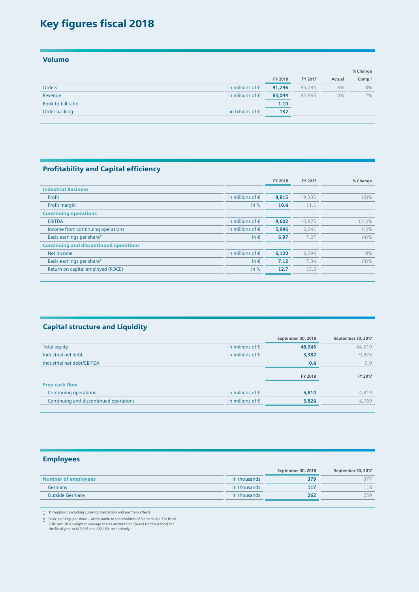## Key figures fiscal 2018

Volume

|                    |                           |         |         |        | % Change           |
|--------------------|---------------------------|---------|---------|--------|--------------------|
|                    |                           | FY 2018 | FY 2017 | Actual | Comp. <sup>1</sup> |
| <b>Orders</b>      | in millions of $\epsilon$ | 91,296  | 85,784  | 6%     | 8%                 |
| Revenue            | in millions of $\epsilon$ | 83,044  | 82,863  | $0\%$  | 2%                 |
| Book-to-bill ratio |                           | 1.10    |         |        |                    |
| Order backlog      | in billions of $\epsilon$ | 132     |         |        |                    |
|                    |                           |         |         |        |                    |

#### Profitability and Capital efficiency

|                                               |                           | FY 2018 | FY 2017 | % Change |
|-----------------------------------------------|---------------------------|---------|---------|----------|
| <b>Industrial Business</b>                    |                           |         |         |          |
| Profit                                        | in millions of $\epsilon$ | 8,815   | 9.335   | (6)%     |
| Profit margin                                 | in $%$                    | 10.4    | 11.1    |          |
| <b>Continuing operations</b>                  |                           |         |         |          |
| <b>EBITDA</b>                                 | in millions of $\epsilon$ | 9,602   | 10,825  | (11)%    |
| Income from continuing operations             | in millions of $\epsilon$ | 5,996   | 6.041   | $(1)\%$  |
| Basic earnings per share <sup>2</sup>         | in $\epsilon$             | 6.97    | 7.27    | $(4)\%$  |
| <b>Continuing and discontinued operations</b> |                           |         |         |          |
| Net income                                    | in millions of $\epsilon$ | 6,120   | 6,094   | $0\%$    |
| Basic earnings per share <sup>2</sup>         | in $\epsilon$             | 7.12    | 7.34    | (3)%     |
| Return on capital employed (ROCE)             | in $%$                    | 12.7    | 13.3    |          |
|                                               |                           |         |         |          |

#### Capital structure and Liquidity

|                           | September 30, 2018 | September 30, 2017 |
|---------------------------|--------------------|--------------------|
| in millions of $\epsilon$ | 48,046             | 44,619             |
| in millions of $\epsilon$ | 3,382              | 9.876              |
|                           | 0.4                | 0.9                |
|                           | FY 2018            | FY 2017            |
|                           |                    |                    |
| in millions of $\epsilon$ | 5,814              | 4,819              |
| in millions of $\epsilon$ | 5,824              | 4.769              |
|                           |                    |                    |

### Employees

|                            |              | September 30, 2018 | September 30, 2017 |
|----------------------------|--------------|--------------------|--------------------|
| <b>Number of employees</b> | in thousands | 379                |                    |
| Germany                    | in thousands | 11 <sub>7</sub>    |                    |
| <b>Outside Germany</b>     | in thousands | 262                | 259.               |
|                            |              |                    |                    |

**1** Throughout excluding currency translation and portfolio effects.

**2** Basic earnings per share – attributable to shareholders of Siemens AG. For fiscal 2018 and 2017 weighted average shares outstanding (basic) (in thousands) for the fiscal year to 815,063 and 812,180, respectively.